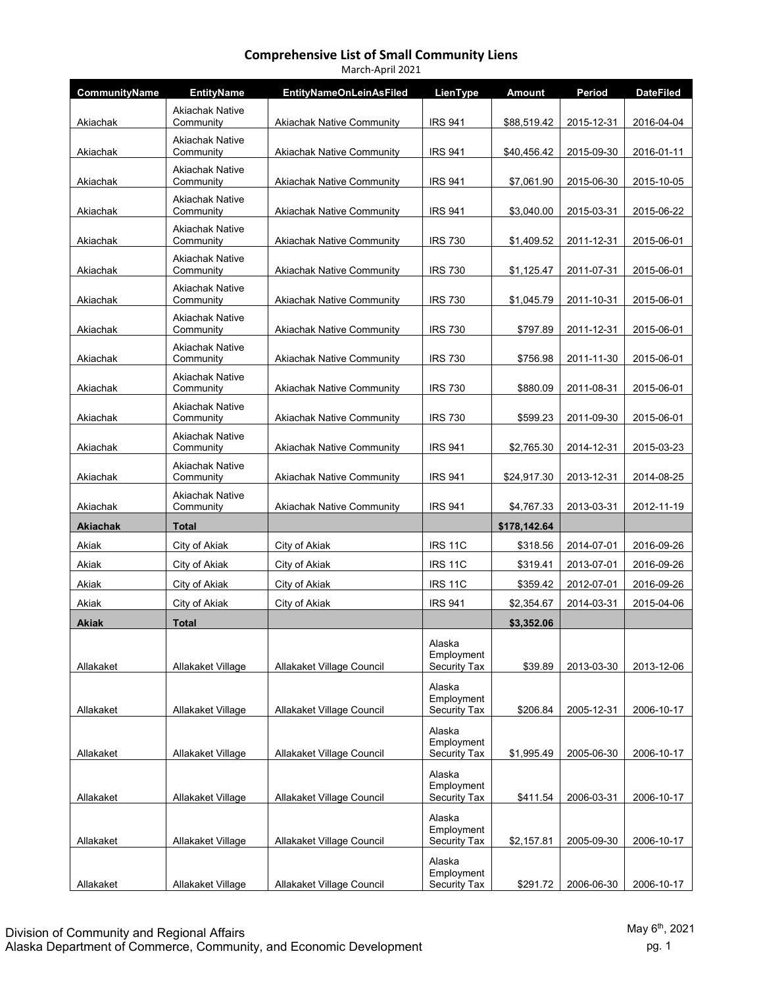| March-April 2021 |                                     |                                  |                                             |               |            |                  |  |  |
|------------------|-------------------------------------|----------------------------------|---------------------------------------------|---------------|------------|------------------|--|--|
| CommunityName    | <b>EntityName</b>                   | <b>EntityNameOnLeinAsFiled</b>   | LienType                                    | <b>Amount</b> | Period     | <b>DateFiled</b> |  |  |
| Akiachak         | <b>Akiachak Native</b><br>Community | <b>Akiachak Native Community</b> | <b>IRS 941</b>                              | \$88,519.42   | 2015-12-31 | 2016-04-04       |  |  |
| Akiachak         | <b>Akiachak Native</b><br>Community | <b>Akiachak Native Community</b> | <b>IRS 941</b>                              | \$40,456.42   | 2015-09-30 | 2016-01-11       |  |  |
| Akiachak         | <b>Akiachak Native</b><br>Community | <b>Akiachak Native Community</b> | <b>IRS 941</b>                              | \$7,061.90    | 2015-06-30 | 2015-10-05       |  |  |
| Akiachak         | <b>Akiachak Native</b><br>Community | <b>Akiachak Native Community</b> | <b>IRS 941</b>                              | \$3,040.00    | 2015-03-31 | 2015-06-22       |  |  |
| Akiachak         | <b>Akiachak Native</b><br>Community | <b>Akiachak Native Community</b> | <b>IRS 730</b>                              | \$1,409.52    | 2011-12-31 | 2015-06-01       |  |  |
| Akiachak         | <b>Akiachak Native</b><br>Community | <b>Akiachak Native Community</b> | <b>IRS 730</b>                              | \$1,125.47    | 2011-07-31 | 2015-06-01       |  |  |
| Akiachak         | <b>Akiachak Native</b><br>Community | <b>Akiachak Native Community</b> | <b>IRS 730</b>                              | \$1,045.79    | 2011-10-31 | 2015-06-01       |  |  |
| Akiachak         | <b>Akiachak Native</b><br>Community | <b>Akiachak Native Community</b> | <b>IRS 730</b>                              | \$797.89      | 2011-12-31 | 2015-06-01       |  |  |
| Akiachak         | <b>Akiachak Native</b><br>Community | <b>Akiachak Native Community</b> | <b>IRS 730</b>                              | \$756.98      | 2011-11-30 | 2015-06-01       |  |  |
| Akiachak         | <b>Akiachak Native</b><br>Community | <b>Akiachak Native Community</b> | <b>IRS 730</b>                              | \$880.09      | 2011-08-31 | 2015-06-01       |  |  |
| Akiachak         | <b>Akiachak Native</b><br>Community | <b>Akiachak Native Community</b> | <b>IRS 730</b>                              | \$599.23      | 2011-09-30 | 2015-06-01       |  |  |
| Akiachak         | <b>Akiachak Native</b><br>Community | <b>Akiachak Native Community</b> | <b>IRS 941</b>                              | \$2,765.30    | 2014-12-31 | 2015-03-23       |  |  |
| Akiachak         | <b>Akiachak Native</b><br>Community | <b>Akiachak Native Community</b> | <b>IRS 941</b>                              | \$24,917.30   | 2013-12-31 | 2014-08-25       |  |  |
| Akiachak         | <b>Akiachak Native</b><br>Community | <b>Akiachak Native Community</b> | <b>IRS 941</b>                              | \$4,767.33    | 2013-03-31 | 2012-11-19       |  |  |
| Akiachak         | <b>Total</b>                        |                                  |                                             | \$178,142.64  |            |                  |  |  |
| Akiak            | City of Akiak                       | City of Akiak                    | <b>IRS 11C</b>                              | \$318.56      | 2014-07-01 | 2016-09-26       |  |  |
| Akiak            | City of Akiak                       | City of Akiak                    | <b>IRS 11C</b>                              | \$319.41      | 2013-07-01 | 2016-09-26       |  |  |
| Akiak            | City of Akiak                       | City of Akiak                    | <b>IRS 11C</b>                              | \$359.42      | 2012-07-01 | 2016-09-26       |  |  |
| Akiak            | City of Akiak                       | City of Akiak                    | <b>IRS 941</b>                              | \$2,354.67    | 2014-03-31 | 2015-04-06       |  |  |
| <b>Akiak</b>     | <b>Total</b>                        |                                  |                                             | \$3,352.06    |            |                  |  |  |
| Allakaket        | Allakaket Village                   | Allakaket Village Council        | Alaska<br>Employment<br>Security Tax        | \$39.89       | 2013-03-30 | 2013-12-06       |  |  |
| Allakaket        | Allakaket Village                   | Allakaket Village Council        | Alaska<br>Employment<br><b>Security Tax</b> | \$206.84      | 2005-12-31 | 2006-10-17       |  |  |
| Allakaket        | Allakaket Village                   | Allakaket Village Council        | Alaska<br>Employment<br>Security Tax        | \$1,995.49    | 2005-06-30 | 2006-10-17       |  |  |
| Allakaket        | Allakaket Village                   | Allakaket Village Council        | Alaska<br>Employment<br>Security Tax        | \$411.54      | 2006-03-31 | 2006-10-17       |  |  |
|                  |                                     |                                  | Alaska<br>Employment                        |               |            |                  |  |  |
| Allakaket        | Allakaket Village                   | Allakaket Village Council        | <b>Security Tax</b>                         | \$2,157.81    | 2005-09-30 | 2006-10-17       |  |  |
| Allakaket        | Allakaket Village                   | Allakaket Village Council        | Alaska<br>Employment<br>Security Tax        | \$291.72      | 2006-06-30 | 2006-10-17       |  |  |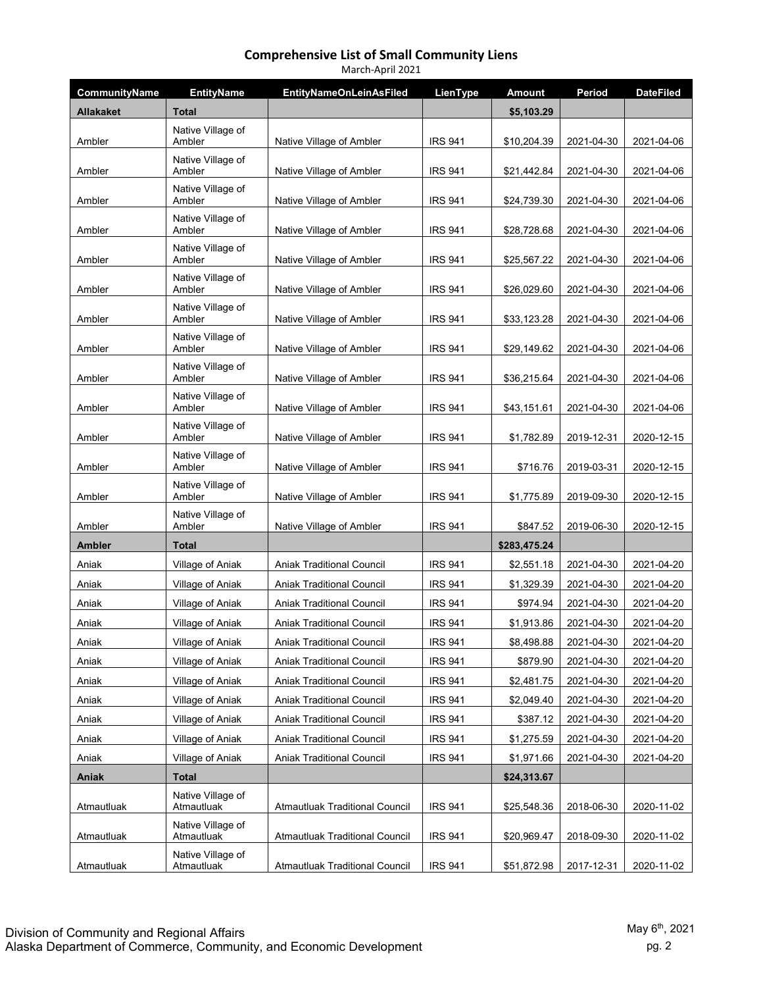| March-April 2021     |                                 |                                       |                |               |            |                  |  |
|----------------------|---------------------------------|---------------------------------------|----------------|---------------|------------|------------------|--|
| <b>CommunityName</b> | <b>EntityName</b>               | <b>EntityNameOnLeinAsFiled</b>        | LienType       | <b>Amount</b> | Period     | <b>DateFiled</b> |  |
| <b>Allakaket</b>     | <b>Total</b>                    |                                       |                | \$5,103.29    |            |                  |  |
|                      | Native Village of               |                                       |                |               |            |                  |  |
| Ambler               | Ambler<br>Native Village of     | Native Village of Ambler              | <b>IRS 941</b> | \$10,204.39   | 2021-04-30 | 2021-04-06       |  |
| Ambler               | Ambler                          | Native Village of Ambler              | <b>IRS 941</b> | \$21,442.84   | 2021-04-30 | 2021-04-06       |  |
| Ambler               | Native Village of<br>Ambler     | Native Village of Ambler              | <b>IRS 941</b> | \$24,739.30   | 2021-04-30 | 2021-04-06       |  |
| Ambler               | Native Village of<br>Ambler     | Native Village of Ambler              | <b>IRS 941</b> | \$28,728.68   | 2021-04-30 | 2021-04-06       |  |
| Ambler               | Native Village of<br>Ambler     | Native Village of Ambler              | <b>IRS 941</b> | \$25,567.22   | 2021-04-30 | 2021-04-06       |  |
| Ambler               | Native Village of<br>Ambler     | Native Village of Ambler              | <b>IRS 941</b> | \$26,029.60   | 2021-04-30 | 2021-04-06       |  |
| Ambler               | Native Village of<br>Ambler     | Native Village of Ambler              | <b>IRS 941</b> | \$33,123.28   | 2021-04-30 | 2021-04-06       |  |
| Ambler               | Native Village of<br>Ambler     | Native Village of Ambler              | <b>IRS 941</b> | \$29,149.62   | 2021-04-30 | 2021-04-06       |  |
| Ambler               | Native Village of<br>Ambler     | Native Village of Ambler              | <b>IRS 941</b> | \$36,215.64   | 2021-04-30 | 2021-04-06       |  |
| Ambler               | Native Village of<br>Ambler     | Native Village of Ambler              | <b>IRS 941</b> | \$43,151.61   | 2021-04-30 | 2021-04-06       |  |
| Ambler               | Native Village of<br>Ambler     | Native Village of Ambler              | <b>IRS 941</b> | \$1,782.89    | 2019-12-31 | 2020-12-15       |  |
| Ambler               | Native Village of<br>Ambler     | Native Village of Ambler              | <b>IRS 941</b> | \$716.76      | 2019-03-31 | 2020-12-15       |  |
| Ambler               | Native Village of<br>Ambler     | Native Village of Ambler              | <b>IRS 941</b> | \$1,775.89    | 2019-09-30 | 2020-12-15       |  |
| Ambler               | Native Village of<br>Ambler     | Native Village of Ambler              | <b>IRS 941</b> | \$847.52      | 2019-06-30 | 2020-12-15       |  |
| <b>Ambler</b>        | <b>Total</b>                    |                                       |                | \$283,475.24  |            |                  |  |
| Aniak                | Village of Aniak                | <b>Aniak Traditional Council</b>      | <b>IRS 941</b> | \$2,551.18    | 2021-04-30 | 2021-04-20       |  |
| Aniak                | Village of Aniak                | <b>Aniak Traditional Council</b>      | <b>IRS 941</b> | \$1,329.39    | 2021-04-30 | 2021-04-20       |  |
| Aniak                | Village of Aniak                | <b>Aniak Traditional Council</b>      | <b>IRS 941</b> | \$974.94      | 2021-04-30 | 2021-04-20       |  |
| Aniak                | Village of Aniak                | <b>Aniak Traditional Council</b>      | <b>IRS 941</b> | \$1,913.86    | 2021-04-30 | 2021-04-20       |  |
| Aniak                | Village of Aniak                | <b>Aniak Traditional Council</b>      | <b>IRS 941</b> | \$8,498.88    | 2021-04-30 | 2021-04-20       |  |
| Aniak                | Village of Aniak                | <b>Aniak Traditional Council</b>      | <b>IRS 941</b> | \$879.90      | 2021-04-30 | 2021-04-20       |  |
| Aniak                | Village of Aniak                | <b>Aniak Traditional Council</b>      | <b>IRS 941</b> | \$2,481.75    | 2021-04-30 | 2021-04-20       |  |
| Aniak                | Village of Aniak                | <b>Aniak Traditional Council</b>      | <b>IRS 941</b> | \$2,049.40    | 2021-04-30 | 2021-04-20       |  |
| Aniak                | Village of Aniak                | Aniak Traditional Council             | <b>IRS 941</b> | \$387.12      | 2021-04-30 | 2021-04-20       |  |
| Aniak                | Village of Aniak                | Aniak Traditional Council             | <b>IRS 941</b> | \$1,275.59    | 2021-04-30 | 2021-04-20       |  |
| Aniak                | Village of Aniak                | <b>Aniak Traditional Council</b>      | <b>IRS 941</b> | \$1,971.66    | 2021-04-30 | 2021-04-20       |  |
| Aniak                | Total                           |                                       |                | \$24,313.67   |            |                  |  |
| Atmautluak           | Native Village of<br>Atmautluak | <b>Atmautluak Traditional Council</b> | <b>IRS 941</b> | \$25,548.36   | 2018-06-30 | 2020-11-02       |  |
| Atmautluak           | Native Village of<br>Atmautluak | <b>Atmautluak Traditional Council</b> | <b>IRS 941</b> | \$20,969.47   | 2018-09-30 | 2020-11-02       |  |
| Atmautluak           | Native Village of<br>Atmautluak | <b>Atmautluak Traditional Council</b> | <b>IRS 941</b> | \$51,872.98   | 2017-12-31 | 2020-11-02       |  |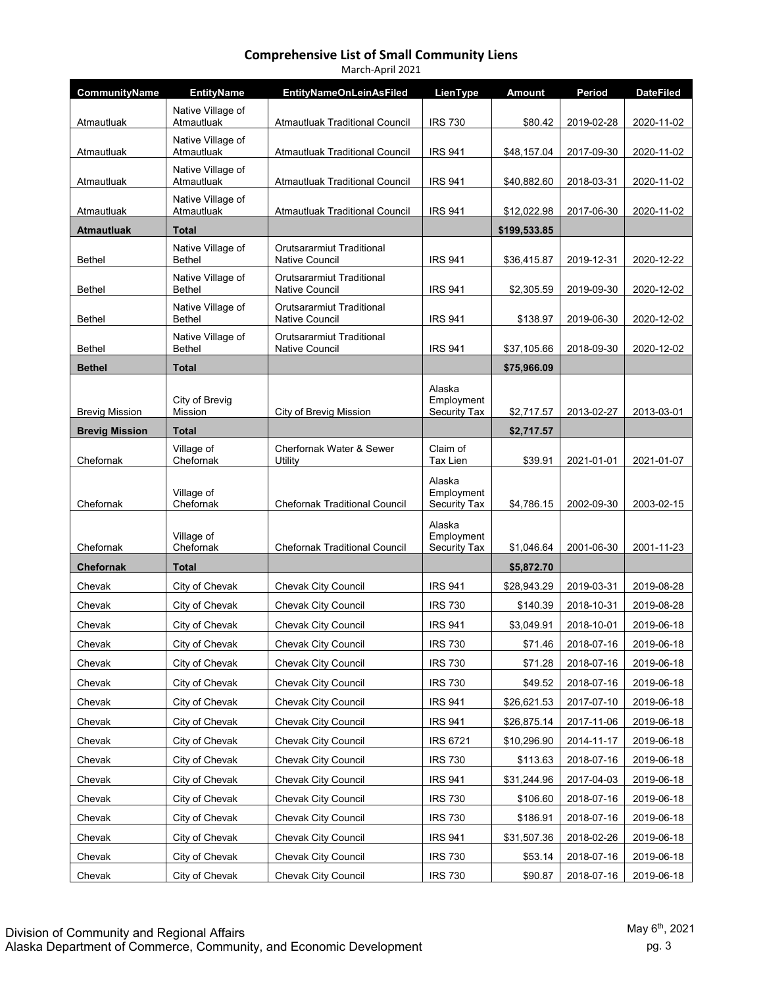| March-April 2021                |                                    |                                                    |                                             |                             |            |                  |  |  |
|---------------------------------|------------------------------------|----------------------------------------------------|---------------------------------------------|-----------------------------|------------|------------------|--|--|
| CommunityName                   | <b>EntityName</b>                  | <b>EntityNameOnLeinAsFiled</b>                     | LienType                                    | Amount                      | Period     | <b>DateFiled</b> |  |  |
| Atmautluak                      | Native Village of<br>Atmautluak    | <b>Atmautluak Traditional Council</b>              | <b>IRS 730</b>                              | \$80.42                     | 2019-02-28 | 2020-11-02       |  |  |
| Atmautluak                      | Native Village of<br>Atmautluak    | <b>Atmautluak Traditional Council</b>              | <b>IRS 941</b>                              | \$48,157.04                 | 2017-09-30 | 2020-11-02       |  |  |
| Atmautluak                      | Native Village of<br>Atmautluak    | Atmautluak Traditional Council                     | <b>IRS 941</b>                              | \$40,882.60                 | 2018-03-31 | 2020-11-02       |  |  |
|                                 | Native Village of                  |                                                    |                                             |                             |            |                  |  |  |
| Atmautluak<br><b>Atmautluak</b> | Atmautluak<br><b>Total</b>         | Atmautluak Traditional Council                     | <b>IRS 941</b>                              | \$12,022.98<br>\$199,533.85 | 2017-06-30 | 2020-11-02       |  |  |
| <b>Bethel</b>                   | Native Village of<br><b>Bethel</b> | Orutsararmiut Traditional<br><b>Native Council</b> | <b>IRS 941</b>                              | \$36,415.87                 | 2019-12-31 | 2020-12-22       |  |  |
| <b>Bethel</b>                   | Native Village of<br><b>Bethel</b> | Orutsararmiut Traditional<br>Native Council        | <b>IRS 941</b>                              | \$2,305.59                  | 2019-09-30 | 2020-12-02       |  |  |
| <b>Bethel</b>                   | Native Village of<br><b>Bethel</b> | Orutsararmiut Traditional<br>Native Council        | <b>IRS 941</b>                              | \$138.97                    | 2019-06-30 | 2020-12-02       |  |  |
| <b>Bethel</b>                   | Native Village of<br><b>Bethel</b> | Orutsararmiut Traditional<br>Native Council        | <b>IRS 941</b>                              | \$37,105.66                 | 2018-09-30 | 2020-12-02       |  |  |
| <b>Bethel</b>                   | <b>Total</b>                       |                                                    |                                             | \$75,966.09                 |            |                  |  |  |
| <b>Brevig Mission</b>           | City of Brevig<br><b>Mission</b>   | City of Brevig Mission                             | Alaska<br>Employment<br><b>Security Tax</b> | \$2,717.57                  | 2013-02-27 | 2013-03-01       |  |  |
| <b>Brevig Mission</b>           | <b>Total</b>                       |                                                    |                                             | \$2,717.57                  |            |                  |  |  |
| Chefornak                       | Village of<br>Chefornak            | Cherfornak Water & Sewer<br>Utility                | Claim of<br>Tax Lien                        | \$39.91                     | 2021-01-01 | 2021-01-07       |  |  |
| Chefornak                       | Village of<br>Chefornak            | <b>Chefornak Traditional Council</b>               | Alaska<br>Employment<br><b>Security Tax</b> | \$4,786.15                  | 2002-09-30 | 2003-02-15       |  |  |
| Chefornak                       | Village of<br>Chefornak            | <b>Chefornak Traditional Council</b>               | Alaska<br>Employment<br><b>Security Tax</b> | \$1,046.64                  | 2001-06-30 | 2001-11-23       |  |  |
| <b>Chefornak</b>                | <b>Total</b>                       |                                                    |                                             | \$5,872.70                  |            |                  |  |  |
| Chevak                          | City of Chevak                     | <b>Chevak City Council</b>                         | <b>IRS 941</b>                              | \$28,943.29                 | 2019-03-31 | 2019-08-28       |  |  |
| Chevak                          | City of Chevak                     | Chevak City Council                                | <b>IRS 730</b>                              | \$140.39                    | 2018-10-31 | 2019-08-28       |  |  |
| Chevak                          | City of Chevak                     | <b>Chevak City Council</b>                         | <b>IRS 941</b>                              | \$3,049.91                  | 2018-10-01 | 2019-06-18       |  |  |
| Chevak                          | City of Chevak                     | Chevak City Council                                | <b>IRS 730</b>                              | \$71.46                     | 2018-07-16 | 2019-06-18       |  |  |
| Chevak                          | City of Chevak                     | <b>Chevak City Council</b>                         | <b>IRS 730</b>                              | \$71.28                     | 2018-07-16 | 2019-06-18       |  |  |
| Chevak                          | City of Chevak                     | <b>Chevak City Council</b>                         | <b>IRS 730</b>                              | \$49.52                     | 2018-07-16 | 2019-06-18       |  |  |
| Chevak                          | City of Chevak                     | Chevak City Council                                | <b>IRS 941</b>                              | \$26,621.53                 | 2017-07-10 | 2019-06-18       |  |  |
| Chevak                          | City of Chevak                     | <b>Chevak City Council</b>                         | <b>IRS 941</b>                              | \$26,875.14                 | 2017-11-06 | 2019-06-18       |  |  |
| Chevak                          | City of Chevak                     | <b>Chevak City Council</b>                         | <b>IRS 6721</b>                             | \$10,296.90                 | 2014-11-17 | 2019-06-18       |  |  |
| Chevak                          | City of Chevak                     | Chevak City Council                                | <b>IRS 730</b>                              | \$113.63                    | 2018-07-16 | 2019-06-18       |  |  |
| Chevak                          | City of Chevak                     | <b>Chevak City Council</b>                         | <b>IRS 941</b>                              | \$31,244.96                 | 2017-04-03 | 2019-06-18       |  |  |
| Chevak                          | City of Chevak                     | Chevak City Council                                | <b>IRS 730</b>                              | \$106.60                    | 2018-07-16 | 2019-06-18       |  |  |
| Chevak                          | City of Chevak                     | Chevak City Council                                | <b>IRS 730</b>                              | \$186.91                    | 2018-07-16 | 2019-06-18       |  |  |
| Chevak                          | City of Chevak                     | <b>Chevak City Council</b>                         | <b>IRS 941</b>                              | \$31,507.36                 | 2018-02-26 | 2019-06-18       |  |  |
| Chevak                          | City of Chevak                     | <b>Chevak City Council</b>                         | <b>IRS 730</b>                              | \$53.14                     | 2018-07-16 | 2019-06-18       |  |  |
| Chevak                          | City of Chevak                     | Chevak City Council                                | <b>IRS 730</b>                              | \$90.87                     | 2018-07-16 | 2019-06-18       |  |  |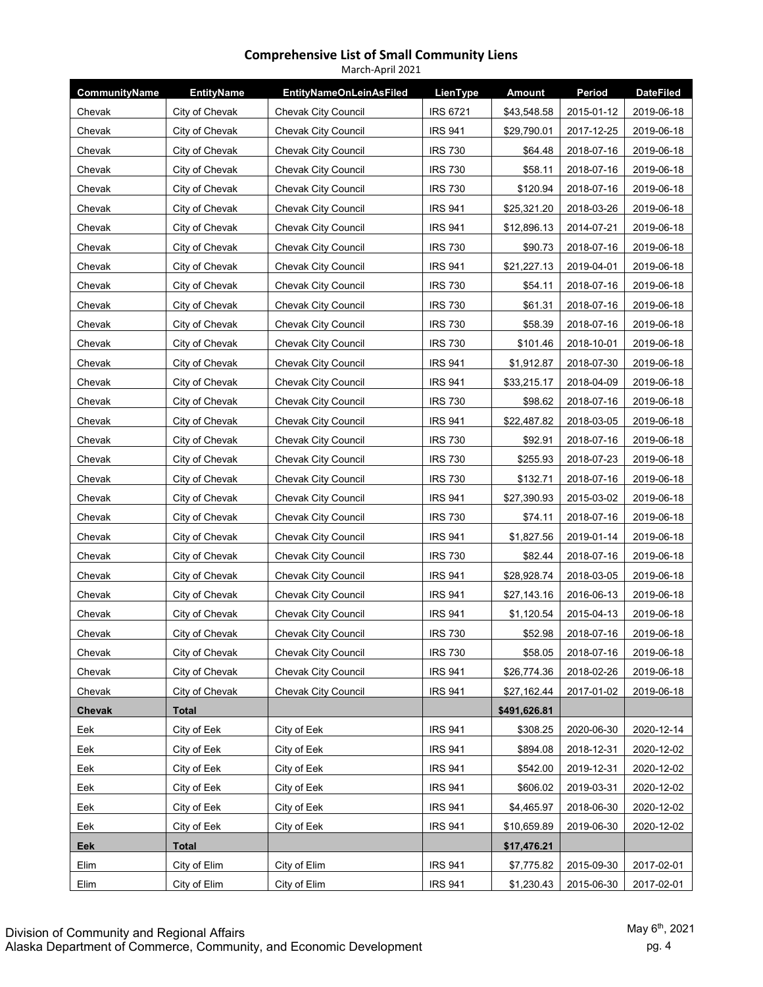| March-April 2021 |                   |                                |                 |               |            |                  |  |
|------------------|-------------------|--------------------------------|-----------------|---------------|------------|------------------|--|
| CommunityName    | <b>EntityName</b> | <b>EntityNameOnLeinAsFiled</b> | LienType        | <b>Amount</b> | Period     | <b>DateFiled</b> |  |
| Chevak           | City of Chevak    | Chevak City Council            | <b>IRS 6721</b> | \$43,548.58   | 2015-01-12 | 2019-06-18       |  |
| Chevak           | City of Chevak    | Chevak City Council            | <b>IRS 941</b>  | \$29,790.01   | 2017-12-25 | 2019-06-18       |  |
| Chevak           | City of Chevak    | <b>Chevak City Council</b>     | <b>IRS 730</b>  | \$64.48       | 2018-07-16 | 2019-06-18       |  |
| Chevak           | City of Chevak    | Chevak City Council            | <b>IRS 730</b>  | \$58.11       | 2018-07-16 | 2019-06-18       |  |
| Chevak           | City of Chevak    | <b>Chevak City Council</b>     | <b>IRS 730</b>  | \$120.94      | 2018-07-16 | 2019-06-18       |  |
| Chevak           | City of Chevak    | <b>Chevak City Council</b>     | <b>IRS 941</b>  | \$25,321.20   | 2018-03-26 | 2019-06-18       |  |
| Chevak           | City of Chevak    | <b>Chevak City Council</b>     | <b>IRS 941</b>  | \$12,896.13   | 2014-07-21 | 2019-06-18       |  |
| Chevak           | City of Chevak    | Chevak City Council            | <b>IRS 730</b>  | \$90.73       | 2018-07-16 | 2019-06-18       |  |
| Chevak           | City of Chevak    | <b>Chevak City Council</b>     | <b>IRS 941</b>  | \$21,227.13   | 2019-04-01 | 2019-06-18       |  |
| Chevak           | City of Chevak    | <b>Chevak City Council</b>     | <b>IRS 730</b>  | \$54.11       | 2018-07-16 | 2019-06-18       |  |
| Chevak           | City of Chevak    | Chevak City Council            | <b>IRS 730</b>  | \$61.31       | 2018-07-16 | 2019-06-18       |  |
| Chevak           | City of Chevak    | <b>Chevak City Council</b>     | <b>IRS 730</b>  | \$58.39       | 2018-07-16 | 2019-06-18       |  |
| Chevak           | City of Chevak    | Chevak City Council            | <b>IRS 730</b>  | \$101.46      | 2018-10-01 | 2019-06-18       |  |
| Chevak           | City of Chevak    | <b>Chevak City Council</b>     | <b>IRS 941</b>  | \$1,912.87    | 2018-07-30 | 2019-06-18       |  |
| Chevak           | City of Chevak    | <b>Chevak City Council</b>     | <b>IRS 941</b>  | \$33,215.17   | 2018-04-09 | 2019-06-18       |  |
| Chevak           | City of Chevak    | Chevak City Council            | <b>IRS 730</b>  | \$98.62       | 2018-07-16 | 2019-06-18       |  |
| Chevak           | City of Chevak    | Chevak City Council            | <b>IRS 941</b>  | \$22,487.82   | 2018-03-05 | 2019-06-18       |  |
| Chevak           | City of Chevak    | Chevak City Council            | <b>IRS 730</b>  | \$92.91       | 2018-07-16 | 2019-06-18       |  |
| Chevak           | City of Chevak    | Chevak City Council            | <b>IRS 730</b>  | \$255.93      | 2018-07-23 | 2019-06-18       |  |
| Chevak           | City of Chevak    | Chevak City Council            | <b>IRS 730</b>  | \$132.71      | 2018-07-16 | 2019-06-18       |  |
| Chevak           | City of Chevak    | <b>Chevak City Council</b>     | <b>IRS 941</b>  | \$27,390.93   | 2015-03-02 | 2019-06-18       |  |
| Chevak           | City of Chevak    | Chevak City Council            | <b>IRS 730</b>  | \$74.11       | 2018-07-16 | 2019-06-18       |  |
| Chevak           | City of Chevak    | Chevak City Council            | <b>IRS 941</b>  | \$1,827.56    | 2019-01-14 | 2019-06-18       |  |
| Chevak           | City of Chevak    | <b>Chevak City Council</b>     | <b>IRS 730</b>  | \$82.44       | 2018-07-16 | 2019-06-18       |  |
| Chevak           | City of Chevak    | Chevak City Council            | <b>IRS 941</b>  | \$28,928.74   | 2018-03-05 | 2019-06-18       |  |
| Chevak           | City of Chevak    | Chevak City Council            | <b>IRS 941</b>  | \$27,143.16   | 2016-06-13 | 2019-06-18       |  |
| Chevak           | City of Chevak    | Chevak City Council            | <b>IRS 941</b>  | \$1,120.54    | 2015-04-13 | 2019-06-18       |  |
| Chevak           | City of Chevak    | Chevak City Council            | <b>IRS 730</b>  | \$52.98       | 2018-07-16 | 2019-06-18       |  |
| Chevak           | City of Chevak    | <b>Chevak City Council</b>     | <b>IRS 730</b>  | \$58.05       | 2018-07-16 | 2019-06-18       |  |
| Chevak           | City of Chevak    | Chevak City Council            | <b>IRS 941</b>  | \$26,774.36   | 2018-02-26 | 2019-06-18       |  |
| Chevak           | City of Chevak    | Chevak City Council            | <b>IRS 941</b>  | \$27,162.44   | 2017-01-02 | 2019-06-18       |  |
| Chevak           | <b>Total</b>      |                                |                 | \$491,626.81  |            |                  |  |
| Eek              | City of Eek       | City of Eek                    | <b>IRS 941</b>  | \$308.25      | 2020-06-30 | 2020-12-14       |  |
| Eek              | City of Eek       | City of Eek                    | <b>IRS 941</b>  | \$894.08      | 2018-12-31 | 2020-12-02       |  |
| Eek              | City of Eek       | City of Eek                    | <b>IRS 941</b>  | \$542.00      | 2019-12-31 | 2020-12-02       |  |
| Eek              | City of Eek       | City of Eek                    | <b>IRS 941</b>  | \$606.02      | 2019-03-31 | 2020-12-02       |  |
| Eek              | City of Eek       | City of Eek                    | <b>IRS 941</b>  | \$4,465.97    | 2018-06-30 | 2020-12-02       |  |
| Eek              | City of Eek       | City of Eek                    | <b>IRS 941</b>  | \$10,659.89   | 2019-06-30 | 2020-12-02       |  |
| Eek              | <b>Total</b>      |                                |                 | \$17,476.21   |            |                  |  |
| Elim             | City of Elim      | City of Elim                   | <b>IRS 941</b>  | \$7,775.82    | 2015-09-30 | 2017-02-01       |  |
| Elim             | City of Elim      | City of Elim                   | <b>IRS 941</b>  | \$1,230.43    | 2015-06-30 | 2017-02-01       |  |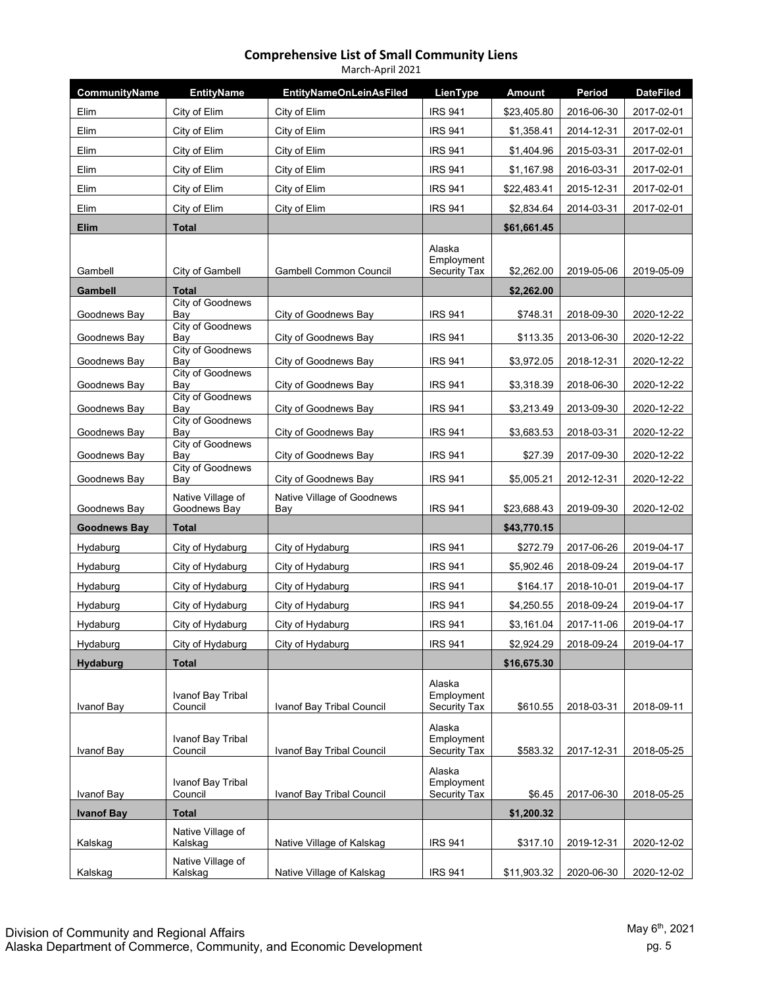| March-April 2021    |                                             |                                   |                                             |               |            |                  |  |  |
|---------------------|---------------------------------------------|-----------------------------------|---------------------------------------------|---------------|------------|------------------|--|--|
| CommunityName       | <b>EntityName</b>                           | <b>EntityNameOnLeinAsFiled</b>    | LienType                                    | <b>Amount</b> | Period     | <b>DateFiled</b> |  |  |
| Elim                | City of Elim                                | City of Elim                      | <b>IRS 941</b>                              | \$23,405.80   | 2016-06-30 | 2017-02-01       |  |  |
| Elim                | City of Elim                                | City of Elim                      | <b>IRS 941</b>                              | \$1,358.41    | 2014-12-31 | 2017-02-01       |  |  |
| Elim                | City of Elim                                | City of Elim                      | <b>IRS 941</b>                              | \$1,404.96    | 2015-03-31 | 2017-02-01       |  |  |
| Elim                | City of Elim                                | City of Elim                      | <b>IRS 941</b>                              | \$1,167.98    | 2016-03-31 | 2017-02-01       |  |  |
| Elim                | City of Elim                                | City of Elim                      | <b>IRS 941</b>                              | \$22,483.41   | 2015-12-31 | 2017-02-01       |  |  |
| Elim                | City of Elim                                | City of Elim                      | <b>IRS 941</b>                              | \$2,834.64    | 2014-03-31 | 2017-02-01       |  |  |
| Elim                | <b>Total</b>                                |                                   |                                             | \$61,661.45   |            |                  |  |  |
| Gambell             | City of Gambell                             | <b>Gambell Common Council</b>     | Alaska<br>Employment<br><b>Security Tax</b> | \$2,262.00    | 2019-05-06 | 2019-05-09       |  |  |
| Gambell             | <b>Total</b>                                |                                   |                                             | \$2,262.00    |            |                  |  |  |
| Goodnews Bay        | City of Goodnews<br>Bay<br>City of Goodnews | City of Goodnews Bay              | <b>IRS 941</b>                              | \$748.31      | 2018-09-30 | 2020-12-22       |  |  |
| Goodnews Bay        | Bay                                         | City of Goodnews Bay              | <b>IRS 941</b>                              | \$113.35      | 2013-06-30 | 2020-12-22       |  |  |
| Goodnews Bay        | City of Goodnews<br>Bay                     | City of Goodnews Bay              | <b>IRS 941</b>                              | \$3,972.05    | 2018-12-31 | 2020-12-22       |  |  |
| Goodnews Bay        | <b>City of Goodnews</b><br>Bay              | City of Goodnews Bay              | <b>IRS 941</b>                              | \$3,318.39    | 2018-06-30 | 2020-12-22       |  |  |
| Goodnews Bay        | <b>City of Goodnews</b><br>Bay              | City of Goodnews Bay              | <b>IRS 941</b>                              | \$3,213.49    | 2013-09-30 | 2020-12-22       |  |  |
| Goodnews Bay        | <b>City of Goodnews</b><br>Bay              | City of Goodnews Bay              | <b>IRS 941</b>                              | \$3,683.53    | 2018-03-31 | 2020-12-22       |  |  |
| Goodnews Bay        | City of Goodnews<br>Bay                     | City of Goodnews Bay              | <b>IRS 941</b>                              | \$27.39       | 2017-09-30 | 2020-12-22       |  |  |
| Goodnews Bay        | <b>City of Goodnews</b><br>Bay              | City of Goodnews Bay              | <b>IRS 941</b>                              | \$5,005.21    | 2012-12-31 | 2020-12-22       |  |  |
| Goodnews Bay        | Native Village of<br>Goodnews Bay           | Native Village of Goodnews<br>Bay | <b>IRS 941</b>                              | \$23,688.43   | 2019-09-30 | 2020-12-02       |  |  |
| <b>Goodnews Bay</b> | <b>Total</b>                                |                                   |                                             | \$43,770.15   |            |                  |  |  |
| Hydaburg            | City of Hydaburg                            | City of Hydaburg                  | <b>IRS 941</b>                              | \$272.79      | 2017-06-26 | 2019-04-17       |  |  |
| Hydaburg            | City of Hydaburg                            | City of Hydaburg                  | <b>IRS 941</b>                              | \$5,902.46    | 2018-09-24 | 2019-04-17       |  |  |
| Hydaburg            | City of Hydaburg                            | City of Hydaburg                  | <b>IRS 941</b>                              | \$164.17      | 2018-10-01 | 2019-04-17       |  |  |
| Hydaburg            | City of Hydaburg                            | City of Hydaburg                  | <b>IRS 941</b>                              | \$4,250.55    | 2018-09-24 | 2019-04-17       |  |  |
| Hydaburg            | City of Hydaburg                            | City of Hydaburg                  | <b>IRS 941</b>                              | \$3,161.04    | 2017-11-06 | 2019-04-17       |  |  |
| Hydaburg            | City of Hydaburg                            | City of Hydaburg                  | <b>IRS 941</b>                              | \$2,924.29    | 2018-09-24 | 2019-04-17       |  |  |
| Hydaburg            | <b>Total</b>                                |                                   |                                             | \$16,675.30   |            |                  |  |  |
| Ivanof Bay          | Ivanof Bay Tribal<br>Council                | Ivanof Bay Tribal Council         | Alaska<br>Employment<br><b>Security Tax</b> | \$610.55      | 2018-03-31 | 2018-09-11       |  |  |
| Ivanof Bay          | Ivanof Bay Tribal<br>Council                | Ivanof Bay Tribal Council         | Alaska<br>Employment<br><b>Security Tax</b> | \$583.32      | 2017-12-31 | 2018-05-25       |  |  |
| Ivanof Bay          | Ivanof Bay Tribal<br>Council                | Ivanof Bay Tribal Council         | Alaska<br>Employment<br>Security Tax        | \$6.45        | 2017-06-30 | 2018-05-25       |  |  |
| <b>Ivanof Bay</b>   | <b>Total</b>                                |                                   |                                             | \$1,200.32    |            |                  |  |  |
| Kalskag             | Native Village of<br>Kalskag                | Native Village of Kalskag         | <b>IRS 941</b>                              | \$317.10      | 2019-12-31 | 2020-12-02       |  |  |
| Kalskag             | Native Village of<br>Kalskag                | Native Village of Kalskag         | <b>IRS 941</b>                              | \$11,903.32   | 2020-06-30 | 2020-12-02       |  |  |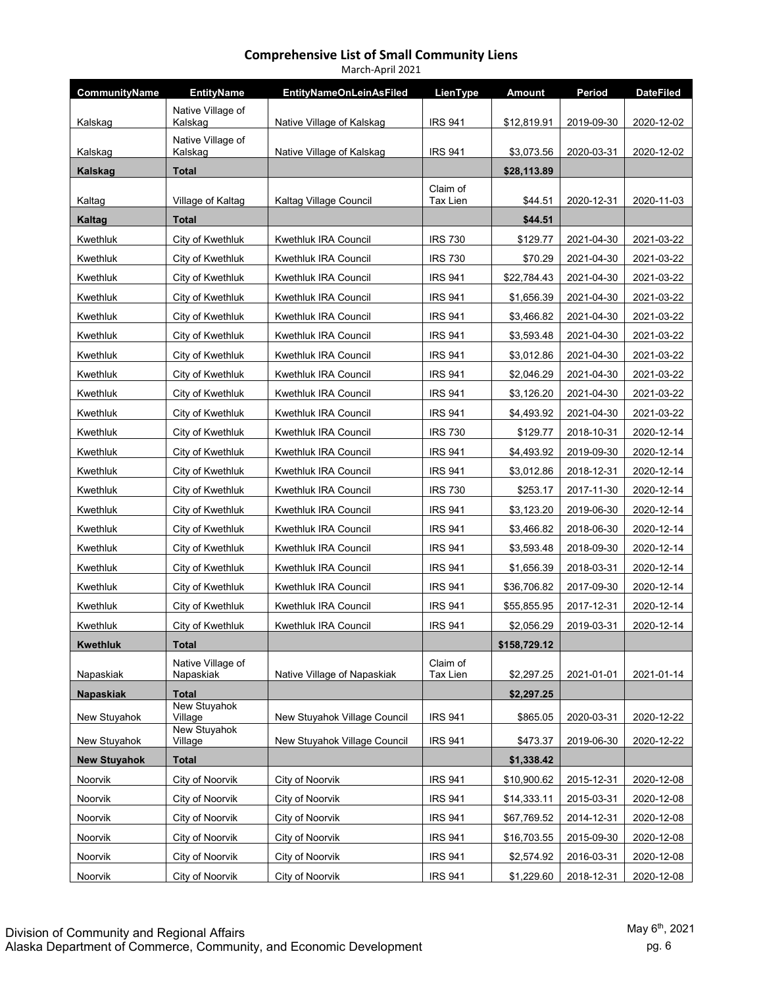| March-April 2021    |                                |                                |                      |              |            |                  |  |  |
|---------------------|--------------------------------|--------------------------------|----------------------|--------------|------------|------------------|--|--|
| CommunityName       | <b>EntityName</b>              | <b>EntityNameOnLeinAsFiled</b> | LienType             | Amount       | Period     | <b>DateFiled</b> |  |  |
| Kalskag             | Native Village of<br>Kalskag   | Native Village of Kalskag      | <b>IRS 941</b>       | \$12,819.91  | 2019-09-30 | 2020-12-02       |  |  |
|                     | Native Village of              |                                |                      |              |            |                  |  |  |
| Kalskag             | Kalskag                        | Native Village of Kalskag      | <b>IRS 941</b>       | \$3,073.56   | 2020-03-31 | 2020-12-02       |  |  |
| <b>Kalskag</b>      | <b>Total</b>                   |                                |                      | \$28,113.89  |            |                  |  |  |
| Kaltag              | Village of Kaltag              | Kaltag Village Council         | Claim of<br>Tax Lien | \$44.51      | 2020-12-31 | 2020-11-03       |  |  |
| Kaltag              | <b>Total</b>                   |                                |                      | \$44.51      |            |                  |  |  |
| Kwethluk            | City of Kwethluk               | <b>Kwethluk IRA Council</b>    | <b>IRS 730</b>       | \$129.77     | 2021-04-30 | 2021-03-22       |  |  |
| Kwethluk            | City of Kwethluk               | Kwethluk IRA Council           | <b>IRS 730</b>       | \$70.29      | 2021-04-30 | 2021-03-22       |  |  |
| Kwethluk            | City of Kwethluk               | Kwethluk IRA Council           | <b>IRS 941</b>       | \$22,784.43  | 2021-04-30 | 2021-03-22       |  |  |
| Kwethluk            | City of Kwethluk               | Kwethluk IRA Council           | <b>IRS 941</b>       | \$1,656.39   | 2021-04-30 | 2021-03-22       |  |  |
| Kwethluk            | City of Kwethluk               | Kwethluk IRA Council           | <b>IRS 941</b>       | \$3,466.82   | 2021-04-30 | 2021-03-22       |  |  |
| Kwethluk            | City of Kwethluk               | Kwethluk IRA Council           | <b>IRS 941</b>       | \$3,593.48   | 2021-04-30 | 2021-03-22       |  |  |
| Kwethluk            | City of Kwethluk               | <b>Kwethluk IRA Council</b>    | <b>IRS 941</b>       | \$3,012.86   | 2021-04-30 | 2021-03-22       |  |  |
| Kwethluk            | City of Kwethluk               | Kwethluk IRA Council           | <b>IRS 941</b>       | \$2,046.29   | 2021-04-30 | 2021-03-22       |  |  |
| Kwethluk            | City of Kwethluk               | Kwethluk IRA Council           | <b>IRS 941</b>       | \$3,126.20   | 2021-04-30 | 2021-03-22       |  |  |
| Kwethluk            | City of Kwethluk               | Kwethluk IRA Council           | <b>IRS 941</b>       | \$4,493.92   | 2021-04-30 | 2021-03-22       |  |  |
| Kwethluk            | City of Kwethluk               | Kwethluk IRA Council           | <b>IRS 730</b>       | \$129.77     | 2018-10-31 | 2020-12-14       |  |  |
| Kwethluk            | City of Kwethluk               | Kwethluk IRA Council           | <b>IRS 941</b>       | \$4,493.92   | 2019-09-30 | 2020-12-14       |  |  |
| Kwethluk            | City of Kwethluk               | Kwethluk IRA Council           | <b>IRS 941</b>       | \$3,012.86   | 2018-12-31 | 2020-12-14       |  |  |
| Kwethluk            | City of Kwethluk               | Kwethluk IRA Council           | <b>IRS 730</b>       | \$253.17     | 2017-11-30 | 2020-12-14       |  |  |
| Kwethluk            | City of Kwethluk               | Kwethluk IRA Council           | <b>IRS 941</b>       | \$3,123.20   | 2019-06-30 | 2020-12-14       |  |  |
| Kwethluk            | City of Kwethluk               | Kwethluk IRA Council           | <b>IRS 941</b>       | \$3,466.82   | 2018-06-30 | 2020-12-14       |  |  |
| Kwethluk            | City of Kwethluk               | Kwethluk IRA Council           | <b>IRS 941</b>       | \$3,593.48   | 2018-09-30 | 2020-12-14       |  |  |
| Kwethluk            | City of Kwethluk               | Kwethluk IRA Council           | <b>IRS 941</b>       | \$1,656.39   | 2018-03-31 | 2020-12-14       |  |  |
| Kwethluk            | City of Kwethluk               | Kwethluk IRA Council           | <b>IRS 941</b>       | \$36,706.82  | 2017-09-30 | 2020-12-14       |  |  |
| Kwethluk            | City of Kwethluk               | Kwethluk IRA Council           | <b>IRS 941</b>       | \$55,855.95  | 2017-12-31 | 2020-12-14       |  |  |
| Kwethluk            | City of Kwethluk               | Kwethluk IRA Council           | <b>IRS 941</b>       | \$2,056.29   | 2019-03-31 | 2020-12-14       |  |  |
| <b>Kwethluk</b>     | <b>Total</b>                   |                                |                      | \$158,729.12 |            |                  |  |  |
| Napaskiak           | Native Village of<br>Napaskiak | Native Village of Napaskiak    | Claim of<br>Tax Lien | \$2,297.25   | 2021-01-01 | 2021-01-14       |  |  |
| <b>Napaskiak</b>    | <b>Total</b>                   |                                |                      | \$2,297.25   |            |                  |  |  |
| New Stuyahok        | <b>New Stuyahok</b><br>Village | New Stuyahok Village Council   | <b>IRS 941</b>       | \$865.05     | 2020-03-31 | 2020-12-22       |  |  |
| New Stuyahok        | New Stuyahok<br>Village        | New Stuyahok Village Council   | <b>IRS 941</b>       | \$473.37     | 2019-06-30 | 2020-12-22       |  |  |
| <b>New Stuyahok</b> | <b>Total</b>                   |                                |                      | \$1,338.42   |            |                  |  |  |
| Noorvik             | City of Noorvik                | City of Noorvik                | <b>IRS 941</b>       | \$10,900.62  | 2015-12-31 | 2020-12-08       |  |  |
| Noorvik             | City of Noorvik                | City of Noorvik                | <b>IRS 941</b>       | \$14,333.11  | 2015-03-31 | 2020-12-08       |  |  |
| Noorvik             | City of Noorvik                | City of Noorvik                | <b>IRS 941</b>       | \$67,769.52  | 2014-12-31 | 2020-12-08       |  |  |
| Noorvik             | City of Noorvik                | City of Noorvik                | <b>IRS 941</b>       | \$16,703.55  | 2015-09-30 | 2020-12-08       |  |  |
| Noorvik             | City of Noorvik                | City of Noorvik                | <b>IRS 941</b>       | \$2,574.92   | 2016-03-31 | 2020-12-08       |  |  |
| Noorvik             | City of Noorvik                | City of Noorvik                | <b>IRS 941</b>       | \$1,229.60   | 2018-12-31 | 2020-12-08       |  |  |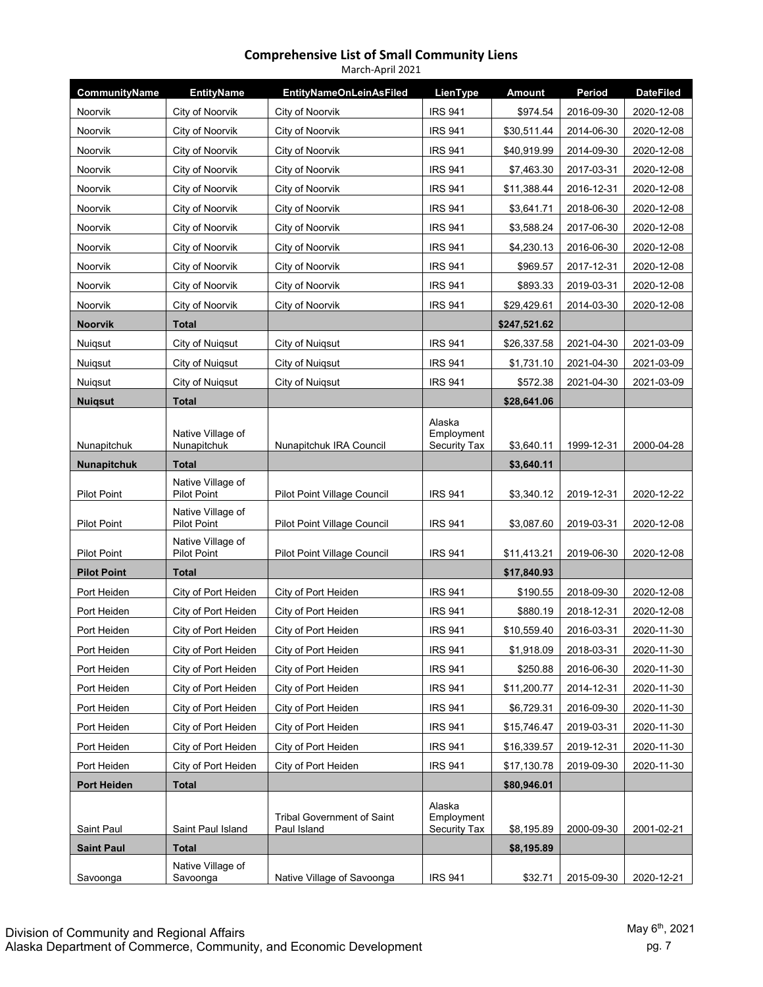| March-April 2021   |                                  |                                                  |                                             |               |            |                  |  |  |
|--------------------|----------------------------------|--------------------------------------------------|---------------------------------------------|---------------|------------|------------------|--|--|
| CommunityName      | <b>EntityName</b>                | <b>EntityNameOnLeinAsFiled</b>                   | LienType                                    | <b>Amount</b> | Period     | <b>DateFiled</b> |  |  |
| Noorvik            | City of Noorvik                  | City of Noorvik                                  | <b>IRS 941</b>                              | \$974.54      | 2016-09-30 | 2020-12-08       |  |  |
| Noorvik            | City of Noorvik                  | City of Noorvik                                  | <b>IRS 941</b>                              | \$30,511.44   | 2014-06-30 | 2020-12-08       |  |  |
| Noorvik            | City of Noorvik                  | City of Noorvik                                  | <b>IRS 941</b>                              | \$40,919.99   | 2014-09-30 | 2020-12-08       |  |  |
| Noorvik            | City of Noorvik                  | City of Noorvik                                  | <b>IRS 941</b>                              | \$7,463.30    | 2017-03-31 | 2020-12-08       |  |  |
| <b>Noorvik</b>     | City of Noorvik                  | City of Noorvik                                  | <b>IRS 941</b>                              | \$11,388.44   | 2016-12-31 | 2020-12-08       |  |  |
| Noorvik            | City of Noorvik                  | City of Noorvik                                  | <b>IRS 941</b>                              | \$3,641.71    | 2018-06-30 | 2020-12-08       |  |  |
| Noorvik            | City of Noorvik                  | City of Noorvik                                  | <b>IRS 941</b>                              | \$3,588.24    | 2017-06-30 | 2020-12-08       |  |  |
| Noorvik            | City of Noorvik                  | City of Noorvik                                  | <b>IRS 941</b>                              | \$4,230.13    | 2016-06-30 | 2020-12-08       |  |  |
| Noorvik            | City of Noorvik                  | City of Noorvik                                  | <b>IRS 941</b>                              | \$969.57      | 2017-12-31 | 2020-12-08       |  |  |
| Noorvik            | City of Noorvik                  | City of Noorvik                                  | <b>IRS 941</b>                              | \$893.33      | 2019-03-31 | 2020-12-08       |  |  |
| Noorvik            | City of Noorvik                  | City of Noorvik                                  | <b>IRS 941</b>                              | \$29,429.61   | 2014-03-30 | 2020-12-08       |  |  |
| <b>Noorvik</b>     | <b>Total</b>                     |                                                  |                                             | \$247,521.62  |            |                  |  |  |
| Nuiqsut            | City of Nuigsut                  | City of Nuigsut                                  | <b>IRS 941</b>                              | \$26,337.58   | 2021-04-30 | 2021-03-09       |  |  |
| Nuiqsut            | City of Nuigsut                  | City of Nuigsut                                  | <b>IRS 941</b>                              | \$1,731.10    | 2021-04-30 | 2021-03-09       |  |  |
| Nuigsut            | City of Nuigsut                  | City of Nuigsut                                  | <b>IRS 941</b>                              | \$572.38      | 2021-04-30 | 2021-03-09       |  |  |
| <b>Nuigsut</b>     | <b>Total</b>                     |                                                  |                                             | \$28,641.06   |            |                  |  |  |
|                    | Native Village of                |                                                  | Alaska<br>Employment                        |               |            |                  |  |  |
| Nunapitchuk        | Nunapitchuk                      | Nunapitchuk IRA Council                          | Security Tax                                | \$3,640.11    | 1999-12-31 | 2000-04-28       |  |  |
| <b>Nunapitchuk</b> | <b>Total</b>                     |                                                  |                                             | \$3,640.11    |            |                  |  |  |
| <b>Pilot Point</b> | Native Village of<br>Pilot Point | <b>Pilot Point Village Council</b>               | <b>IRS 941</b>                              | \$3,340.12    | 2019-12-31 | 2020-12-22       |  |  |
| <b>Pilot Point</b> | Native Village of<br>Pilot Point | Pilot Point Village Council                      | <b>IRS 941</b>                              | \$3,087.60    | 2019-03-31 | 2020-12-08       |  |  |
| <b>Pilot Point</b> | Native Village of<br>Pilot Point | Pilot Point Village Council                      | <b>IRS 941</b>                              | \$11,413.21   | 2019-06-30 | 2020-12-08       |  |  |
| <b>Pilot Point</b> | <b>Total</b>                     |                                                  |                                             | \$17,840.93   |            |                  |  |  |
| Port Heiden        | City of Port Heiden              | City of Port Heiden                              | <b>IRS 941</b>                              | \$190.55      | 2018-09-30 | 2020-12-08       |  |  |
| Port Heiden        | City of Port Heiden              | City of Port Heiden                              | <b>IRS 941</b>                              | \$880.19      | 2018-12-31 | 2020-12-08       |  |  |
| Port Heiden        | City of Port Heiden              | City of Port Heiden                              | <b>IRS 941</b>                              | \$10,559.40   | 2016-03-31 | 2020-11-30       |  |  |
| Port Heiden        | City of Port Heiden              | City of Port Heiden                              | <b>IRS 941</b>                              | \$1,918.09    | 2018-03-31 | 2020-11-30       |  |  |
| Port Heiden        | City of Port Heiden              | City of Port Heiden                              | <b>IRS 941</b>                              | \$250.88      | 2016-06-30 | 2020-11-30       |  |  |
| Port Heiden        | City of Port Heiden              | City of Port Heiden                              | <b>IRS 941</b>                              | \$11,200.77   | 2014-12-31 | 2020-11-30       |  |  |
| Port Heiden        | City of Port Heiden              | City of Port Heiden                              | <b>IRS 941</b>                              | \$6,729.31    | 2016-09-30 | 2020-11-30       |  |  |
| Port Heiden        | City of Port Heiden              | City of Port Heiden                              | <b>IRS 941</b>                              | \$15,746.47   | 2019-03-31 | 2020-11-30       |  |  |
| Port Heiden        | City of Port Heiden              | City of Port Heiden                              | <b>IRS 941</b>                              | \$16,339.57   | 2019-12-31 | 2020-11-30       |  |  |
| Port Heiden        | City of Port Heiden              | City of Port Heiden                              | <b>IRS 941</b>                              | \$17,130.78   | 2019-09-30 | 2020-11-30       |  |  |
| <b>Port Heiden</b> | <b>Total</b>                     |                                                  |                                             | \$80,946.01   |            |                  |  |  |
| Saint Paul         | Saint Paul Island                | <b>Tribal Government of Saint</b><br>Paul Island | Alaska<br>Employment<br><b>Security Tax</b> | \$8,195.89    | 2000-09-30 | 2001-02-21       |  |  |
| <b>Saint Paul</b>  | <b>Total</b>                     |                                                  |                                             | \$8,195.89    |            |                  |  |  |
|                    | Native Village of                |                                                  |                                             |               |            |                  |  |  |
| Savoonga           | Savoonga                         | Native Village of Savoonga                       | <b>IRS 941</b>                              | \$32.71       | 2015-09-30 | 2020-12-21       |  |  |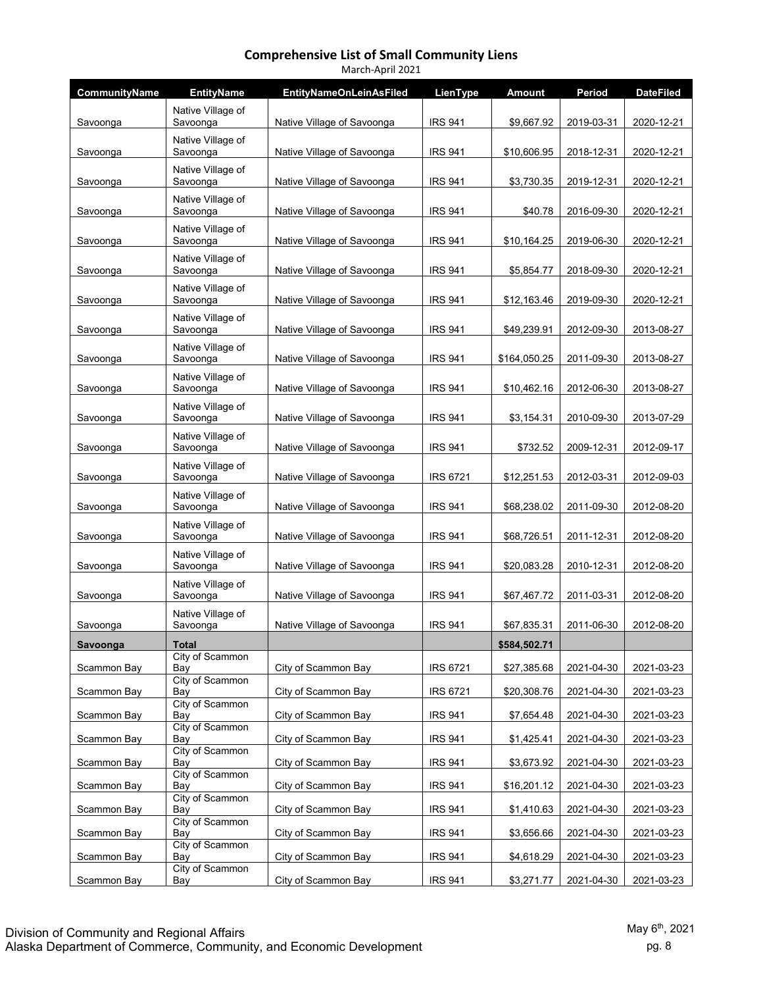| March-April 2021 |                                           |                                |                 |              |            |                  |  |  |
|------------------|-------------------------------------------|--------------------------------|-----------------|--------------|------------|------------------|--|--|
| CommunityName    | <b>EntityName</b>                         | <b>EntityNameOnLeinAsFiled</b> | LienType        | Amount       | Period     | <b>DateFiled</b> |  |  |
| Savoonga         | Native Village of<br>Savoonga             | Native Village of Savoonga     | <b>IRS 941</b>  | \$9,667.92   | 2019-03-31 | 2020-12-21       |  |  |
| Savoonga         | Native Village of<br>Savoonga             | Native Village of Savoonga     | <b>IRS 941</b>  | \$10,606.95  | 2018-12-31 | 2020-12-21       |  |  |
| Savoonga         | Native Village of<br>Savoonga             | Native Village of Savoonga     | <b>IRS 941</b>  | \$3,730.35   | 2019-12-31 | 2020-12-21       |  |  |
| Savoonga         | Native Village of<br>Savoonga             | Native Village of Savoonga     | <b>IRS 941</b>  | \$40.78      | 2016-09-30 | 2020-12-21       |  |  |
| Savoonga         | Native Village of<br>Savoonga             | Native Village of Savoonga     | <b>IRS 941</b>  | \$10,164.25  | 2019-06-30 | 2020-12-21       |  |  |
| Savoonga         | Native Village of<br>Savoonga             | Native Village of Savoonga     | <b>IRS 941</b>  | \$5,854.77   | 2018-09-30 | 2020-12-21       |  |  |
| Savoonga         | Native Village of<br>Savoonga             | Native Village of Savoonga     | <b>IRS 941</b>  | \$12,163.46  | 2019-09-30 | 2020-12-21       |  |  |
| Savoonga         | Native Village of<br>Savoonga             | Native Village of Savoonga     | <b>IRS 941</b>  | \$49,239.91  | 2012-09-30 | 2013-08-27       |  |  |
| Savoonga         | Native Village of<br>Savoonga             | Native Village of Savoonga     | <b>IRS 941</b>  | \$164,050.25 | 2011-09-30 | 2013-08-27       |  |  |
| Savoonga         | Native Village of<br>Savoonga             | Native Village of Savoonga     | <b>IRS 941</b>  | \$10,462.16  | 2012-06-30 | 2013-08-27       |  |  |
| Savoonga         | Native Village of<br>Savoonga             | Native Village of Savoonga     | <b>IRS 941</b>  | \$3,154.31   | 2010-09-30 | 2013-07-29       |  |  |
| Savoonga         | Native Village of<br>Savoonga             | Native Village of Savoonga     | <b>IRS 941</b>  | \$732.52     | 2009-12-31 | 2012-09-17       |  |  |
| Savoonga         | Native Village of<br>Savoonga             | Native Village of Savoonga     | <b>IRS 6721</b> | \$12,251.53  | 2012-03-31 | 2012-09-03       |  |  |
| Savoonga         | Native Village of<br>Savoonga             | Native Village of Savoonga     | <b>IRS 941</b>  | \$68,238.02  | 2011-09-30 | 2012-08-20       |  |  |
| Savoonga         | Native Village of<br>Savoonga             | Native Village of Savoonga     | <b>IRS 941</b>  | \$68,726.51  | 2011-12-31 | 2012-08-20       |  |  |
| Savoonga         | Native Village of<br>Savoonga             | Native Village of Savoonga     | <b>IRS 941</b>  | \$20,083.28  | 2010-12-31 | 2012-08-20       |  |  |
| Savoonga         | Native Village of<br>Savoonga             | Native Village of Savoonga     | <b>IRS 941</b>  | \$67,467.72  | 2011-03-31 | 2012-08-20       |  |  |
| Savoonga         | Native Village of<br>Savoonga             | Native Village of Savoonga     | <b>IRS 941</b>  | \$67,835.31  | 2011-06-30 | 2012-08-20       |  |  |
| Savoonga         | Total                                     |                                |                 | \$584,502.71 |            |                  |  |  |
| Scammon Bay      | City of Scammon<br>Bay<br>City of Scammon | City of Scammon Bay            | <b>IRS 6721</b> | \$27,385.68  | 2021-04-30 | 2021-03-23       |  |  |
| Scammon Bay      | Bay                                       | City of Scammon Bay            | <b>IRS 6721</b> | \$20,308.76  | 2021-04-30 | 2021-03-23       |  |  |
| Scammon Bay      | City of Scammon<br>Bay                    | City of Scammon Bay            | <b>IRS 941</b>  | \$7,654.48   | 2021-04-30 | 2021-03-23       |  |  |
| Scammon Bay      | City of Scammon<br>Bay                    | City of Scammon Bay            | <b>IRS 941</b>  | \$1,425.41   | 2021-04-30 | 2021-03-23       |  |  |
| Scammon Bay      | City of Scammon<br>Bay                    | City of Scammon Bay            | <b>IRS 941</b>  | \$3,673.92   | 2021-04-30 | 2021-03-23       |  |  |
| Scammon Bay      | City of Scammon<br>Bay                    | City of Scammon Bay            | <b>IRS 941</b>  | \$16,201.12  | 2021-04-30 | 2021-03-23       |  |  |
| Scammon Bay      | City of Scammon<br>Bay                    | City of Scammon Bay            | <b>IRS 941</b>  | \$1,410.63   | 2021-04-30 | 2021-03-23       |  |  |
| Scammon Bay      | City of Scammon<br>Bay                    | City of Scammon Bay            | <b>IRS 941</b>  | \$3,656.66   | 2021-04-30 | 2021-03-23       |  |  |
| Scammon Bay      | City of Scammon<br>Bay<br>City of Scammon | City of Scammon Bay            | <b>IRS 941</b>  | \$4,618.29   | 2021-04-30 | 2021-03-23       |  |  |
| Scammon Bay      | Bay                                       | City of Scammon Bay            | <b>IRS 941</b>  | \$3,271.77   | 2021-04-30 | 2021-03-23       |  |  |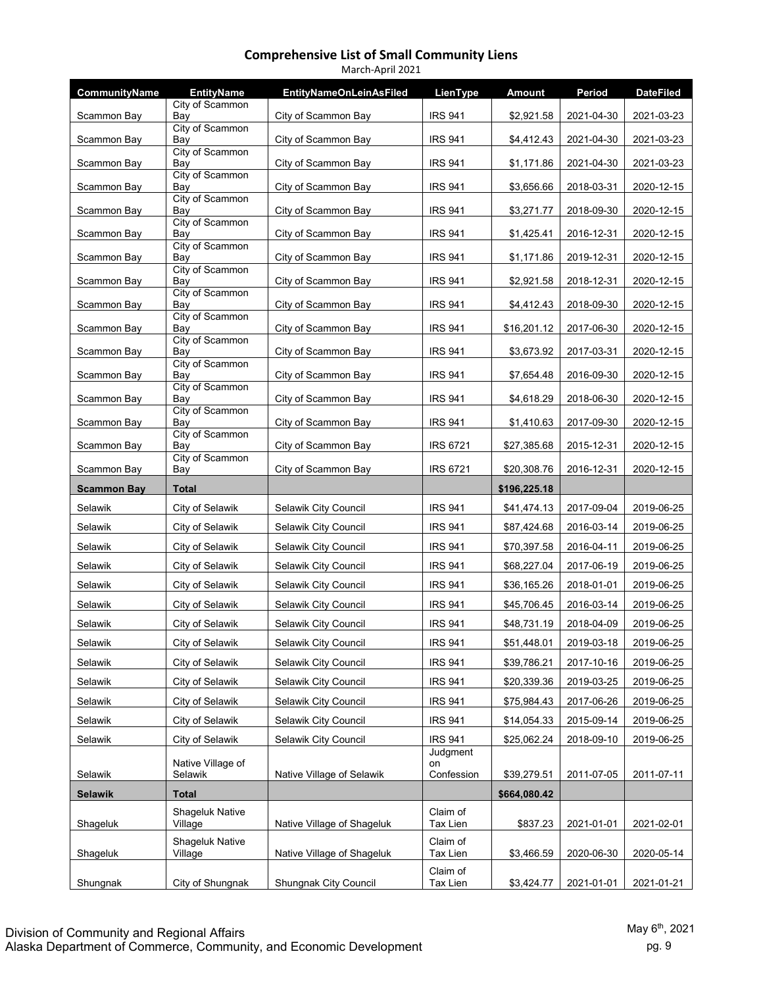| March-April 2021   |                                   |                                |                      |               |            |                  |  |  |
|--------------------|-----------------------------------|--------------------------------|----------------------|---------------|------------|------------------|--|--|
| CommunityName      | <b>EntityName</b>                 | <b>EntityNameOnLeinAsFiled</b> | LienType             | <b>Amount</b> | Period     | <b>DateFiled</b> |  |  |
| Scammon Bay        | City of Scammon<br>Bay            | City of Scammon Bay            | <b>IRS 941</b>       | \$2,921.58    | 2021-04-30 | 2021-03-23       |  |  |
| Scammon Bay        | City of Scammon<br>Bay            | City of Scammon Bay            | <b>IRS 941</b>       | \$4,412.43    | 2021-04-30 | 2021-03-23       |  |  |
| Scammon Bay        | City of Scammon<br>Bay            | City of Scammon Bay            | <b>IRS 941</b>       | \$1,171.86    | 2021-04-30 | 2021-03-23       |  |  |
| Scammon Bay        | City of Scammon<br>Bay            | City of Scammon Bay            | <b>IRS 941</b>       | \$3,656.66    | 2018-03-31 | 2020-12-15       |  |  |
|                    | City of Scammon                   |                                |                      |               |            |                  |  |  |
| Scammon Bay        | Bay<br>City of Scammon            | City of Scammon Bay            | <b>IRS 941</b>       | \$3,271.77    | 2018-09-30 | 2020-12-15       |  |  |
| Scammon Bay        | Bay<br>City of Scammon            | City of Scammon Bay            | <b>IRS 941</b>       | \$1,425.41    | 2016-12-31 | 2020-12-15       |  |  |
| Scammon Bay        | Bay<br>City of Scammon            | City of Scammon Bay            | <b>IRS 941</b>       | \$1,171.86    | 2019-12-31 | 2020-12-15       |  |  |
| Scammon Bay        | Bay                               | City of Scammon Bay            | <b>IRS 941</b>       | \$2,921.58    | 2018-12-31 | 2020-12-15       |  |  |
| Scammon Bay        | City of Scammon<br>Bay            | City of Scammon Bay            | <b>IRS 941</b>       | \$4,412.43    | 2018-09-30 | 2020-12-15       |  |  |
| Scammon Bay        | City of Scammon<br>Bay            | City of Scammon Bay            | <b>IRS 941</b>       | \$16,201.12   | 2017-06-30 | 2020-12-15       |  |  |
| Scammon Bay        | City of Scammon<br>Bay            | City of Scammon Bay            | <b>IRS 941</b>       | \$3,673.92    | 2017-03-31 | 2020-12-15       |  |  |
| Scammon Bay        | City of Scammon<br>Bay            | City of Scammon Bay            | <b>IRS 941</b>       | \$7,654.48    | 2016-09-30 | 2020-12-15       |  |  |
| Scammon Bay        | City of Scammon<br>Bay            | City of Scammon Bay            | <b>IRS 941</b>       | \$4,618.29    | 2018-06-30 | 2020-12-15       |  |  |
|                    | City of Scammon                   |                                |                      |               |            |                  |  |  |
| Scammon Bay        | Bay<br>City of Scammon            | City of Scammon Bay            | <b>IRS 941</b>       | \$1,410.63    | 2017-09-30 | 2020-12-15       |  |  |
| Scammon Bay        | Bay<br>City of Scammon            | City of Scammon Bay            | <b>IRS 6721</b>      | \$27,385.68   | 2015-12-31 | 2020-12-15       |  |  |
| Scammon Bay        | Bay                               | City of Scammon Bay            | <b>IRS 6721</b>      | \$20,308.76   | 2016-12-31 | 2020-12-15       |  |  |
|                    |                                   |                                |                      |               |            |                  |  |  |
| <b>Scammon Bay</b> | <b>Total</b>                      |                                |                      | \$196,225.18  |            |                  |  |  |
| Selawik            | City of Selawik                   | Selawik City Council           | <b>IRS 941</b>       | \$41,474.13   | 2017-09-04 | 2019-06-25       |  |  |
| Selawik            | City of Selawik                   | Selawik City Council           | <b>IRS 941</b>       | \$87,424.68   | 2016-03-14 | 2019-06-25       |  |  |
| Selawik            | City of Selawik                   | Selawik City Council           | <b>IRS 941</b>       | \$70,397.58   | 2016-04-11 | 2019-06-25       |  |  |
| Selawik            | City of Selawik                   | Selawik City Council           | <b>IRS 941</b>       | \$68,227.04   | 2017-06-19 | 2019-06-25       |  |  |
| Selawik            | City of Selawik                   | Selawik City Council           | <b>IRS 941</b>       | \$36,165.26   | 2018-01-01 | 2019-06-25       |  |  |
| Selawik            | City of Selawik                   | Selawik City Council           | <b>IRS 941</b>       | \$45,706.45   | 2016-03-14 | 2019-06-25       |  |  |
| Selawik            | <b>City of Selawik</b>            | <b>Selawik City Council</b>    | <b>IRS 941</b>       | \$48,731.19   | 2018-04-09 | 2019-06-25       |  |  |
| Selawik            | City of Selawik                   | Selawik City Council           | <b>IRS 941</b>       | \$51,448.01   | 2019-03-18 | 2019-06-25       |  |  |
| Selawik            | City of Selawik                   | Selawik City Council           | <b>IRS 941</b>       | \$39,786.21   | 2017-10-16 | 2019-06-25       |  |  |
| Selawik            | City of Selawik                   | Selawik City Council           | <b>IRS 941</b>       | \$20,339.36   | 2019-03-25 | 2019-06-25       |  |  |
| Selawik            | City of Selawik                   | Selawik City Council           | <b>IRS 941</b>       | \$75,984.43   | 2017-06-26 | 2019-06-25       |  |  |
| Selawik            | City of Selawik                   | Selawik City Council           | <b>IRS 941</b>       | \$14,054.33   | 2015-09-14 | 2019-06-25       |  |  |
| Selawik            | City of Selawik                   | Selawik City Council           | <b>IRS 941</b>       | \$25,062.24   | 2018-09-10 | 2019-06-25       |  |  |
|                    | Native Village of                 |                                | Judgment<br>on       |               |            |                  |  |  |
| Selawik            | Selawik                           | Native Village of Selawik      | Confession           | \$39,279.51   | 2011-07-05 | 2011-07-11       |  |  |
| <b>Selawik</b>     | Total                             |                                |                      | \$664,080.42  |            |                  |  |  |
| Shageluk           | <b>Shageluk Native</b><br>Village | Native Village of Shageluk     | Claim of<br>Tax Lien | \$837.23      | 2021-01-01 | 2021-02-01       |  |  |
| Shageluk           | <b>Shageluk Native</b><br>Village | Native Village of Shageluk     | Claim of<br>Tax Lien | \$3,466.59    | 2020-06-30 | 2020-05-14       |  |  |